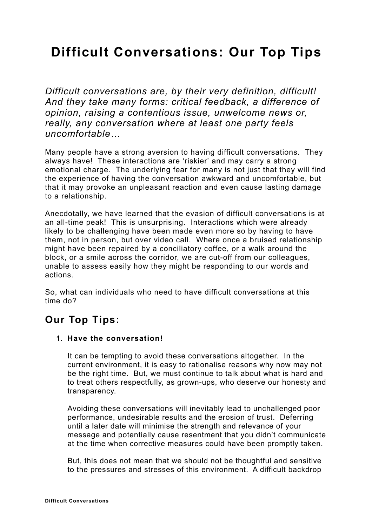# **Difficult Conversations: Our Top Tips**

*Difficult conversations are, by their very definition, difficult! And they take many forms: critical feedback, a difference of opinion, raising a contentious issue, unwelcome news or, really, any conversation where at least one party feels uncomfortable…* 

Many people have a strong aversion to having difficult conversations. They always have! These interactions are 'riskier' and may carry a strong emotional charge. The underlying fear for many is not just that they will find the experience of having the conversation awkward and uncomfortable, but that it may provoke an unpleasant reaction and even cause lasting damage to a relationship.

Anecdotally, we have learned that the evasion of difficult conversations is at an all-time peak! This is unsurprising. Interactions which were already likely to be challenging have been made even more so by having to have them, not in person, but over video call. Where once a bruised relationship might have been repaired by a conciliatory coffee, or a walk around the block, or a smile across the corridor, we are cut-off from our colleagues, unable to assess easily how they might be responding to our words and actions.

So, what can individuals who need to have difficult conversations at this time do?

# **Our Top Tips:**

# **1. Have the conversation!**

It can be tempting to avoid these conversations altogether. In the current environment, it is easy to rationalise reasons why now may not be the right time. But, we must continue to talk about what is hard and to treat others respectfully, as grown-ups, who deserve our honesty and transparency.

Avoiding these conversations will inevitably lead to unchallenged poor performance, undesirable results and the erosion of trust. Deferring until a later date will minimise the strength and relevance of your message and potentially cause resentment that you didn't communicate at the time when corrective measures could have been promptly taken.

But, this does not mean that we should not be thoughtful and sensitive to the pressures and stresses of this environment. A difficult backdrop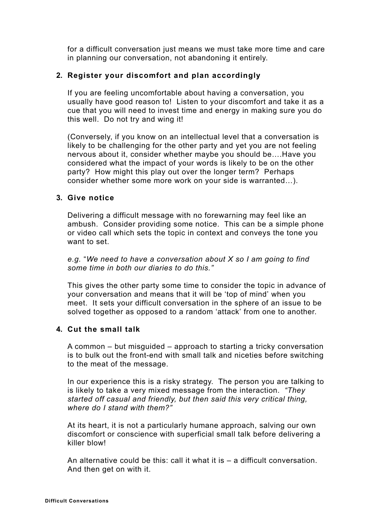for a difficult conversation just means we must take more time and care in planning our conversation, not abandoning it entirely.

#### **2. Register your discomfort and plan accordingly**

If you are feeling uncomfortable about having a conversation, you usually have good reason to! Listen to your discomfort and take it as a cue that you will need to invest time and energy in making sure you do this well. Do not try and wing it!

(Conversely, if you know on an intellectual level that a conversation is likely to be challenging for the other party and yet you are not feeling nervous about it, consider whether maybe you should be….Have you considered what the impact of your words is likely to be on the other party? How might this play out over the longer term? Perhaps consider whether some more work on your side is warranted…).

#### **3. Give notice**

Delivering a difficult message with no forewarning may feel like an ambush. Consider providing some notice. This can be a simple phone or video call which sets the topic in context and conveys the tone you want to set.

*e.g.* "*We need to have a conversation about X so I am going to find some time in both our diaries to do this."* 

This gives the other party some time to consider the topic in advance of your conversation and means that it will be 'top of mind' when you meet. It sets your difficult conversation in the sphere of an issue to be solved together as opposed to a random 'attack' from one to another.

#### **4. Cut the small talk**

A common – but misguided – approach to starting a tricky conversation is to bulk out the front-end with small talk and niceties before switching to the meat of the message.

In our experience this is a risky strategy. The person you are talking to is likely to take a very mixed message from the interaction. *"They started off casual and friendly, but then said this very critical thing, where do I stand with them?"*

At its heart, it is not a particularly humane approach, salving our own discomfort or conscience with superficial small talk before delivering a killer blow!

An alternative could be this: call it what it is – a difficult conversation. And then get on with it.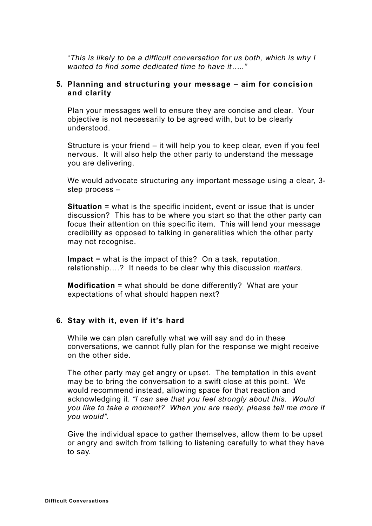"*This is likely to be a difficult conversation for us both, which is why I wanted to find some dedicated time to have it….."* 

#### **5. Planning and structuring your message – aim for concision and clarity**

Plan your messages well to ensure they are concise and clear. Your objective is not necessarily to be agreed with, but to be clearly understood.

Structure is your friend – it will help you to keep clear, even if you feel nervous. It will also help the other party to understand the message you are delivering.

We would advocate structuring any important message using a clear, 3 step process –

**Situation** = what is the specific incident, event or issue that is under discussion? This has to be where you start so that the other party can focus their attention on this specific item. This will lend your message credibility as opposed to talking in generalities which the other party may not recognise.

**Impact** = what is the impact of this? On a task, reputation, relationship….? It needs to be clear why this discussion *matters*.

**Modification** = what should be done differently? What are your expectations of what should happen next?

#### **6. Stay with it, even if it's hard**

While we can plan carefully what we will say and do in these conversations, we cannot fully plan for the response we might receive on the other side.

The other party may get angry or upset. The temptation in this event may be to bring the conversation to a swift close at this point. We would recommend instead, allowing space for that reaction and acknowledging it. *"I can see that you feel strongly about this. Would you like to take a moment? When you are ready, please tell me more if you would".*

Give the individual space to gather themselves, allow them to be upset or angry and switch from talking to listening carefully to what they have to say.